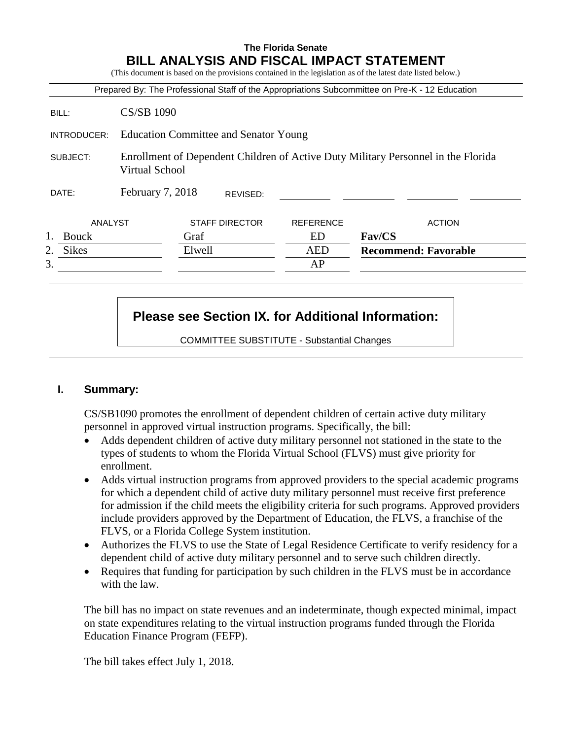# **The Florida Senate BILL ANALYSIS AND FISCAL IMPACT STATEMENT**

(This document is based on the provisions contained in the legislation as of the latest date listed below.)

|                    |                                                                                                            |        |                       |                  | Prepared By: The Professional Staff of the Appropriations Subcommittee on Pre-K - 12 Education |
|--------------------|------------------------------------------------------------------------------------------------------------|--------|-----------------------|------------------|------------------------------------------------------------------------------------------------|
| BILL:              | <b>CS/SB 1090</b>                                                                                          |        |                       |                  |                                                                                                |
| INTRODUCER:        | <b>Education Committee and Senator Young</b>                                                               |        |                       |                  |                                                                                                |
| SUBJECT:           | Enrollment of Dependent Children of Active Duty Military Personnel in the Florida<br><b>Virtual School</b> |        |                       |                  |                                                                                                |
| DATE:              | February 7, 2018                                                                                           |        | REVISED:              |                  |                                                                                                |
| ANALYST            |                                                                                                            |        | <b>STAFF DIRECTOR</b> | <b>REFERENCE</b> | <b>ACTION</b>                                                                                  |
| <b>Bouck</b>       |                                                                                                            | Graf   |                       | ED               | <b>Fav/CS</b>                                                                                  |
| <b>Sikes</b><br>2. |                                                                                                            | Elwell |                       | <b>AED</b>       | <b>Recommend: Favorable</b>                                                                    |
| 3.                 |                                                                                                            |        |                       | AP               |                                                                                                |

# **Please see Section IX. for Additional Information:**

COMMITTEE SUBSTITUTE - Substantial Changes

#### **I. Summary:**

CS/SB1090 promotes the enrollment of dependent children of certain active duty military personnel in approved virtual instruction programs. Specifically, the bill:

- Adds dependent children of active duty military personnel not stationed in the state to the types of students to whom the Florida Virtual School (FLVS) must give priority for enrollment.
- Adds virtual instruction programs from approved providers to the special academic programs for which a dependent child of active duty military personnel must receive first preference for admission if the child meets the eligibility criteria for such programs. Approved providers include providers approved by the Department of Education, the FLVS, a franchise of the FLVS, or a Florida College System institution.
- Authorizes the FLVS to use the State of Legal Residence Certificate to verify residency for a dependent child of active duty military personnel and to serve such children directly.
- Requires that funding for participation by such children in the FLVS must be in accordance with the law.

The bill has no impact on state revenues and an indeterminate, though expected minimal, impact on state expenditures relating to the virtual instruction programs funded through the Florida Education Finance Program (FEFP).

The bill takes effect July 1, 2018.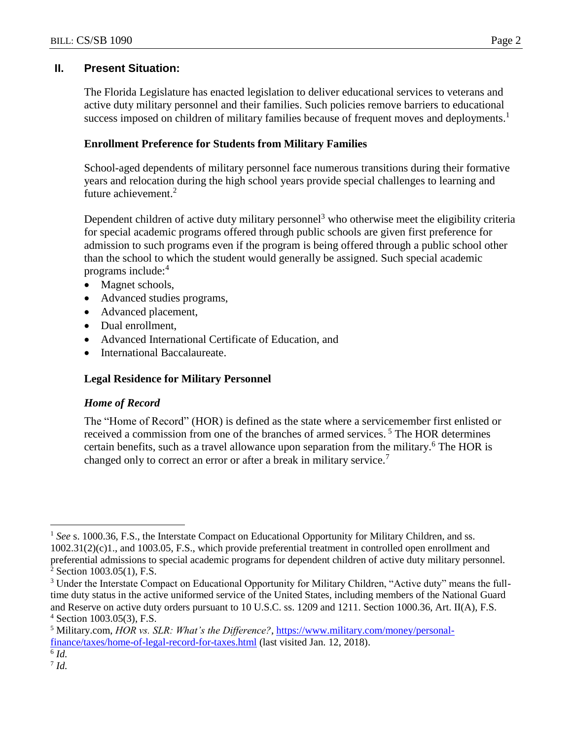### **II. Present Situation:**

The Florida Legislature has enacted legislation to deliver educational services to veterans and active duty military personnel and their families. Such policies remove barriers to educational success imposed on children of military families because of frequent moves and deployments.<sup>1</sup>

### **Enrollment Preference for Students from Military Families**

School-aged dependents of military personnel face numerous transitions during their formative years and relocation during the high school years provide special challenges to learning and future achievement.<sup>2</sup>

Dependent children of active duty military personnel<sup>3</sup> who otherwise meet the eligibility criteria for special academic programs offered through public schools are given first preference for admission to such programs even if the program is being offered through a public school other than the school to which the student would generally be assigned. Such special academic programs include: 4

- Magnet schools,
- Advanced studies programs,
- Advanced placement,
- Dual enrollment,
- Advanced International Certificate of Education, and
- International Baccalaureate.

### **Legal Residence for Military Personnel**

### *Home of Record*

The "Home of Record" (HOR) is defined as the state where a servicemember first enlisted or received a commission from one of the branches of armed services.<sup>5</sup> The HOR determines certain benefits, such as a travel allowance upon separation from the military. <sup>6</sup> The HOR is changed only to correct an error or after a break in military service.<sup>7</sup>

 $\overline{a}$ 

<sup>&</sup>lt;sup>1</sup> See s. 1000.36, F.S., the Interstate Compact on Educational Opportunity for Military Children, and ss. 1002.31(2)(c)1., and 1003.05, F.S., which provide preferential treatment in controlled open enrollment and preferential admissions to special academic programs for dependent children of active duty military personnel. <sup>2</sup> Section 1003.05(1), F.S.

<sup>&</sup>lt;sup>3</sup> Under the Interstate Compact on Educational Opportunity for Military Children, "Active duty" means the fulltime duty status in the active uniformed service of the United States, including members of the National Guard and Reserve on active duty orders pursuant to 10 U.S.C. ss. 1209 and 1211. Section 1000.36, Art. II(A), F.S. <sup>4</sup> Section 1003.05(3), F.S.

<sup>5</sup> Military.com, *HOR vs. SLR: What's the Difference?*, [https://www.military.com/money/personal](https://www.military.com/money/personal-finance/taxes/home-of-legal-record-for-taxes.html)[finance/taxes/home-of-legal-record-for-taxes.html](https://www.military.com/money/personal-finance/taxes/home-of-legal-record-for-taxes.html) (last visited Jan. 12, 2018).

<sup>6</sup> *Id.*

<sup>7</sup> *Id.*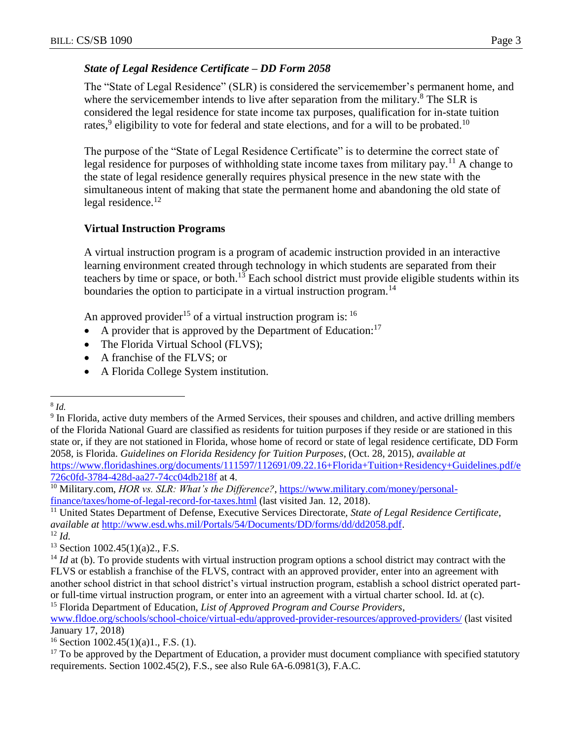### *State of Legal Residence Certificate – DD Form 2058*

The "State of Legal Residence" (SLR) is considered the servicemember's permanent home, and where the servicemember intends to live after separation from the military.<sup>8</sup> The SLR is considered the legal residence for state income tax purposes, qualification for in-state tuition rates,<sup>9</sup> eligibility to vote for federal and state elections, and for a will to be probated.<sup>10</sup>

The purpose of the "State of Legal Residence Certificate" is to determine the correct state of legal residence for purposes of withholding state income taxes from military pay.<sup>11</sup> A change to the state of legal residence generally requires physical presence in the new state with the simultaneous intent of making that state the permanent home and abandoning the old state of legal residence. $12$ 

# **Virtual Instruction Programs**

A virtual instruction program is a program of academic instruction provided in an interactive learning environment created through technology in which students are separated from their teachers by time or space, or both.<sup>13</sup> Each school district must provide eligible students within its boundaries the option to participate in a virtual instruction program.<sup>14</sup>

An approved provider<sup>15</sup> of a virtual instruction program is:  $16$ 

- A provider that is approved by the Department of Education:<sup>17</sup>
- The Florida Virtual School (FLVS);
- A franchise of the FLVS; or
- A Florida College System institution.

[www.fldoe.org/schools/school-choice/virtual-edu/approved-provider-resources/approved-providers/](http://www.fldoe.org/schools/school-choice/virtual-edu/approved-provider-resources/approved-providers/) (last visited January 17, 2018)

 $\overline{a}$ 8 *Id.*

<sup>&</sup>lt;sup>9</sup> In Florida, active duty members of the Armed Services, their spouses and children, and active drilling members of the Florida National Guard are classified as residents for tuition purposes if they reside or are stationed in this state or, if they are not stationed in Florida, whose home of record or state of legal residence certificate, DD Form 2058, is Florida. *Guidelines on Florida Residency for Tuition Purposes*, (Oct. 28, 2015), *available at* [https://www.floridashines.org/documents/111597/112691/09.22.16+Florida+Tuition+Residency+Guidelines.pdf/e](https://www.floridashines.org/documents/111597/112691/09.22.16+Florida+Tuition+Residency+Guidelines.pdf/e726c0fd-3784-428d-aa27-74cc04db218f) [726c0fd-3784-428d-aa27-74cc04db218f](https://www.floridashines.org/documents/111597/112691/09.22.16+Florida+Tuition+Residency+Guidelines.pdf/e726c0fd-3784-428d-aa27-74cc04db218f) at 4.

<sup>&</sup>lt;sup>10</sup> Military.com, *HOR vs. SLR: What's the Difference?*, [https://www.military.com/money/personal](https://www.military.com/money/personal-finance/taxes/home-of-legal-record-for-taxes.html)[finance/taxes/home-of-legal-record-for-taxes.html](https://www.military.com/money/personal-finance/taxes/home-of-legal-record-for-taxes.html) (last visited Jan. 12, 2018).

<sup>11</sup> United States Department of Defense, Executive Services Directorate, *State of Legal Residence Certificate*, *available at* [http://www.esd.whs.mil/Portals/54/Documents/DD/forms/dd/dd2058.pdf.](http://www.esd.whs.mil/Portals/54/Documents/DD/forms/dd/dd2058.pdf) <sup>12</sup> *Id.*

 $13$  Section 1002.45(1)(a)2., F.S.

<sup>&</sup>lt;sup>14</sup> *Id* at (b). To provide students with virtual instruction program options a school district may contract with the FLVS or establish a franchise of the FLVS, contract with an approved provider, enter into an agreement with another school district in that school district's virtual instruction program, establish a school district operated partor full-time virtual instruction program, or enter into an agreement with a virtual charter school. Id. at (c). <sup>15</sup> Florida Department of Education, *List of Approved Program and Course Providers*,

<sup>&</sup>lt;sup>16</sup> Section 1002.45(1)(a)1., F.S. (1).

<sup>&</sup>lt;sup>17</sup> To be approved by the Department of Education, a provider must document compliance with specified statutory requirements. Section 1002.45(2), F.S., see also Rule 6A-6.0981(3), F.A.C.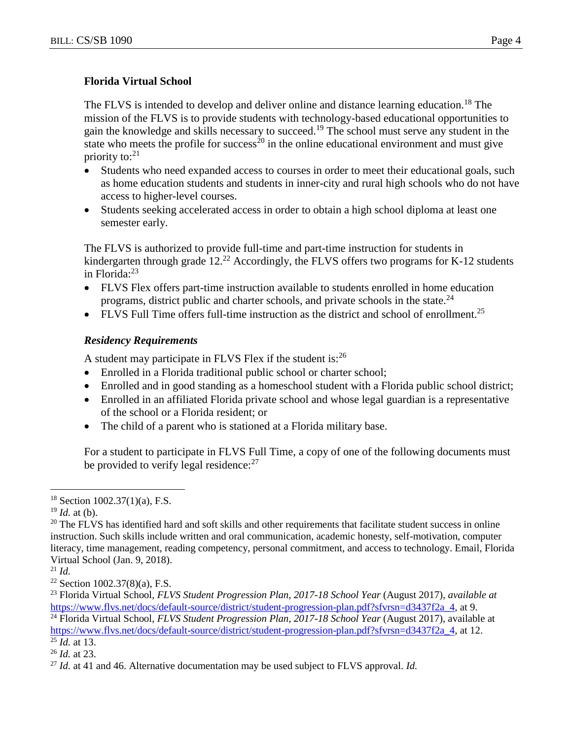#### **Florida Virtual School**

The FLVS is intended to develop and deliver online and distance learning education.<sup>18</sup> The mission of the FLVS is to provide students with technology-based educational opportunities to gain the knowledge and skills necessary to succeed.<sup>19</sup> The school must serve any student in the state who meets the profile for success<sup>20</sup> in the online educational environment and must give priority to: $21$ 

- Students who need expanded access to courses in order to meet their educational goals, such as home education students and students in inner-city and rural high schools who do not have access to higher-level courses.
- Students seeking accelerated access in order to obtain a high school diploma at least one semester early.

The FLVS is authorized to provide full-time and part-time instruction for students in kindergarten through grade 12.<sup>22</sup> Accordingly, the FLVS offers two programs for K-12 students in Florida:<sup>23</sup>

- FLVS Flex offers part-time instruction available to students enrolled in home education programs, district public and charter schools, and private schools in the state.<sup>24</sup>
- FLVS Full Time offers full-time instruction as the district and school of enrollment.<sup>25</sup>

#### *Residency Requirements*

A student may participate in FLVS Flex if the student is:<sup>26</sup>

- Enrolled in a Florida traditional public school or charter school;
- Enrolled and in good standing as a homeschool student with a Florida public school district;
- Enrolled in an affiliated Florida private school and whose legal guardian is a representative of the school or a Florida resident; or
- The child of a parent who is stationed at a Florida military base.

For a student to participate in FLVS Full Time, a copy of one of the following documents must be provided to verify legal residence: $27$ 

 $\overline{a}$ 

 $18$  Section 1002.37(1)(a), F.S.

 $19$  *Id.* at (b).

<sup>&</sup>lt;sup>20</sup> The FLVS has identified hard and soft skills and other requirements that facilitate student success in online instruction. Such skills include written and oral communication, academic honesty, self-motivation, computer literacy, time management, reading competency, personal commitment, and access to technology. Email, Florida Virtual School (Jan. 9, 2018).

<sup>21</sup> *Id.*

 $22$  Section 1002.37(8)(a), F.S.

<sup>23</sup> Florida Virtual School, *FLVS Student Progression Plan, 2017-18 School Year* (August 2017), *available at* [https://www.flvs.net/docs/default-source/district/student-progression-plan.pdf?sfvrsn=d3437f2a\\_4,](https://www.flvs.net/docs/default-source/district/student-progression-plan.pdf?sfvrsn=d3437f2a_4) at 9.

<sup>24</sup> Florida Virtual School, *FLVS Student Progression Plan, 2017-18 School Year* (August 2017), available at [https://www.flvs.net/docs/default-source/district/student-progression-plan.pdf?sfvrsn=d3437f2a\\_4,](https://www.flvs.net/docs/default-source/district/student-progression-plan.pdf?sfvrsn=d3437f2a_4) at 12.

 $^{25}$  *Id.* at 13.

<sup>26</sup> *Id.* at 23.

<sup>27</sup> *Id.* at 41 and 46. Alternative documentation may be used subject to FLVS approval. *Id.*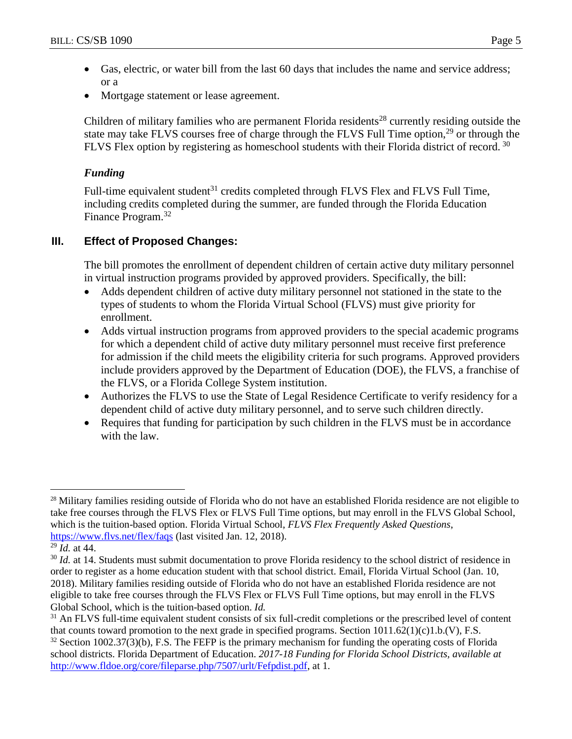- Gas, electric, or water bill from the last 60 days that includes the name and service address; or a
- Mortgage statement or lease agreement.

Children of military families who are permanent Florida residents<sup>28</sup> currently residing outside the state may take FLVS courses free of charge through the FLVS Full Time option,<sup>29</sup> or through the FLVS Flex option by registering as homeschool students with their Florida district of record. <sup>30</sup>

# *Funding*

Full-time equivalent student $31$  credits completed through FLVS Flex and FLVS Full Time, including credits completed during the summer, are funded through the Florida Education Finance Program.<sup>32</sup>

# **III. Effect of Proposed Changes:**

The bill promotes the enrollment of dependent children of certain active duty military personnel in virtual instruction programs provided by approved providers. Specifically, the bill:

- Adds dependent children of active duty military personnel not stationed in the state to the types of students to whom the Florida Virtual School (FLVS) must give priority for enrollment.
- Adds virtual instruction programs from approved providers to the special academic programs for which a dependent child of active duty military personnel must receive first preference for admission if the child meets the eligibility criteria for such programs. Approved providers include providers approved by the Department of Education (DOE), the FLVS, a franchise of the FLVS, or a Florida College System institution.
- Authorizes the FLVS to use the State of Legal Residence Certificate to verify residency for a dependent child of active duty military personnel, and to serve such children directly.
- Requires that funding for participation by such children in the FLVS must be in accordance with the law.

 $\overline{a}$ <sup>28</sup> Military families residing outside of Florida who do not have an established Florida residence are not eligible to take free courses through the FLVS Flex or FLVS Full Time options, but may enroll in the FLVS Global School, which is the tuition-based option. Florida Virtual School, *FLVS Flex Frequently Asked Questions*, <https://www.flvs.net/flex/faqs> (last visited Jan. 12, 2018).

<sup>29</sup> *Id.* at 44.

<sup>&</sup>lt;sup>30</sup> *Id.* at 14. Students must submit documentation to prove Florida residency to the school district of residence in order to register as a home education student with that school district. Email, Florida Virtual School (Jan. 10, 2018). Military families residing outside of Florida who do not have an established Florida residence are not eligible to take free courses through the FLVS Flex or FLVS Full Time options, but may enroll in the FLVS Global School, which is the tuition-based option. *Id.*

<sup>&</sup>lt;sup>31</sup> An FLVS full-time equivalent student consists of six full-credit completions or the prescribed level of content that counts toward promotion to the next grade in specified programs. Section 1011.62(1)(c)1.b.(V), F.S.

 $32$  Section 1002.37(3)(b), F.S. The FEFP is the primary mechanism for funding the operating costs of Florida school districts. Florida Department of Education. *2017-18 Funding for Florida School Districts, available at* [http://www.fldoe.org/core/fileparse.php/7507/urlt/Fefpdist.pdf,](http://www.fldoe.org/core/fileparse.php/7507/urlt/Fefpdist.pdf) at 1.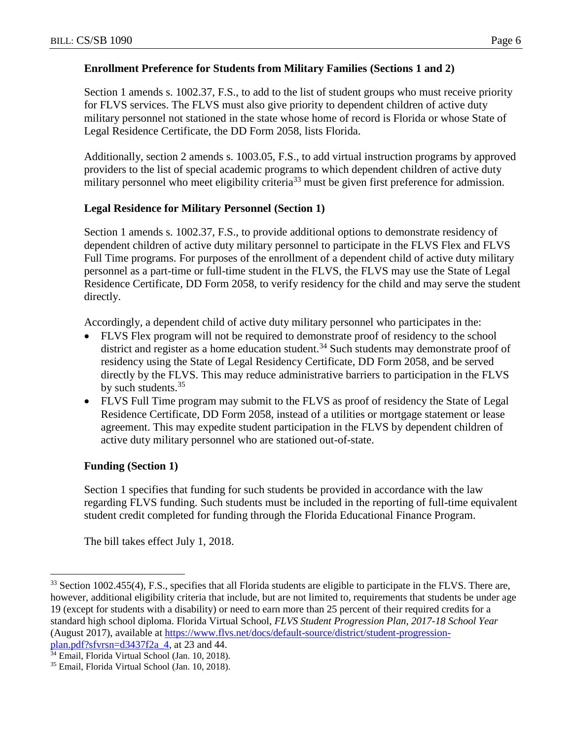# **Enrollment Preference for Students from Military Families (Sections 1 and 2)**

Section 1 amends s. 1002.37, F.S., to add to the list of student groups who must receive priority for FLVS services. The FLVS must also give priority to dependent children of active duty military personnel not stationed in the state whose home of record is Florida or whose State of Legal Residence Certificate, the DD Form 2058, lists Florida.

Additionally, section 2 amends s. 1003.05, F.S., to add virtual instruction programs by approved providers to the list of special academic programs to which dependent children of active duty military personnel who meet eligibility criteria<sup>33</sup> must be given first preference for admission.

# **Legal Residence for Military Personnel (Section 1)**

Section 1 amends s. 1002.37, F.S., to provide additional options to demonstrate residency of dependent children of active duty military personnel to participate in the FLVS Flex and FLVS Full Time programs. For purposes of the enrollment of a dependent child of active duty military personnel as a part-time or full-time student in the FLVS, the FLVS may use the State of Legal Residence Certificate, DD Form 2058, to verify residency for the child and may serve the student directly.

Accordingly, a dependent child of active duty military personnel who participates in the:

- FLVS Flex program will not be required to demonstrate proof of residency to the school district and register as a home education student.<sup>34</sup> Such students may demonstrate proof of residency using the State of Legal Residency Certificate, DD Form 2058, and be served directly by the FLVS. This may reduce administrative barriers to participation in the FLVS by such students.<sup>35</sup>
- FLVS Full Time program may submit to the FLVS as proof of residency the State of Legal Residence Certificate, DD Form 2058, instead of a utilities or mortgage statement or lease agreement. This may expedite student participation in the FLVS by dependent children of active duty military personnel who are stationed out-of-state.

### **Funding (Section 1)**

 $\overline{a}$ 

Section 1 specifies that funding for such students be provided in accordance with the law regarding FLVS funding. Such students must be included in the reporting of full-time equivalent student credit completed for funding through the Florida Educational Finance Program.

The bill takes effect July 1, 2018.

<sup>&</sup>lt;sup>33</sup> Section 1002.455(4), F.S., specifies that all Florida students are eligible to participate in the FLVS. There are, however, additional eligibility criteria that include, but are not limited to, requirements that students be under age 19 (except for students with a disability) or need to earn more than 25 percent of their required credits for a standard high school diploma. Florida Virtual School, *FLVS Student Progression Plan, 2017-18 School Year* (August 2017), available at [https://www.flvs.net/docs/default-source/district/student-progression](https://www.flvs.net/docs/default-source/district/student-progression-plan.pdf?sfvrsn=d3437f2a_4)[plan.pdf?sfvrsn=d3437f2a\\_4,](https://www.flvs.net/docs/default-source/district/student-progression-plan.pdf?sfvrsn=d3437f2a_4) at 23 and 44.

<sup>&</sup>lt;sup>34</sup> Email, Florida Virtual School (Jan. 10, 2018).

<sup>35</sup> Email, Florida Virtual School (Jan. 10, 2018).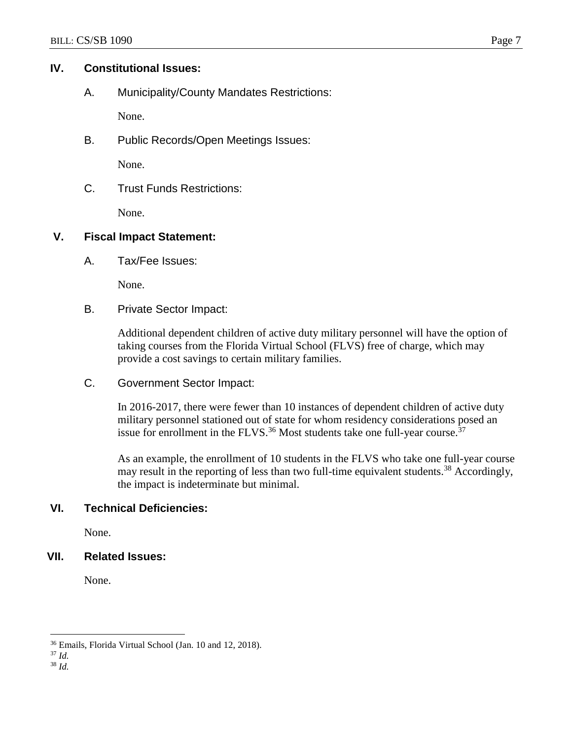#### **IV. Constitutional Issues:**

A. Municipality/County Mandates Restrictions:

None.

B. Public Records/Open Meetings Issues:

None.

C. Trust Funds Restrictions:

None.

### **V. Fiscal Impact Statement:**

A. Tax/Fee Issues:

None.

B. Private Sector Impact:

Additional dependent children of active duty military personnel will have the option of taking courses from the Florida Virtual School (FLVS) free of charge, which may provide a cost savings to certain military families.

C. Government Sector Impact:

In 2016-2017, there were fewer than 10 instances of dependent children of active duty military personnel stationed out of state for whom residency considerations posed an issue for enrollment in the FLVS.<sup>36</sup> Most students take one full-year course.<sup>37</sup>

As an example, the enrollment of 10 students in the FLVS who take one full-year course may result in the reporting of less than two full-time equivalent students.<sup>38</sup> Accordingly, the impact is indeterminate but minimal.

### **VI. Technical Deficiencies:**

None.

### **VII. Related Issues:**

None.

 $\overline{a}$ <sup>36</sup> Emails, Florida Virtual School (Jan. 10 and 12, 2018).

<sup>37</sup> *Id.*

<sup>38</sup> *Id.*